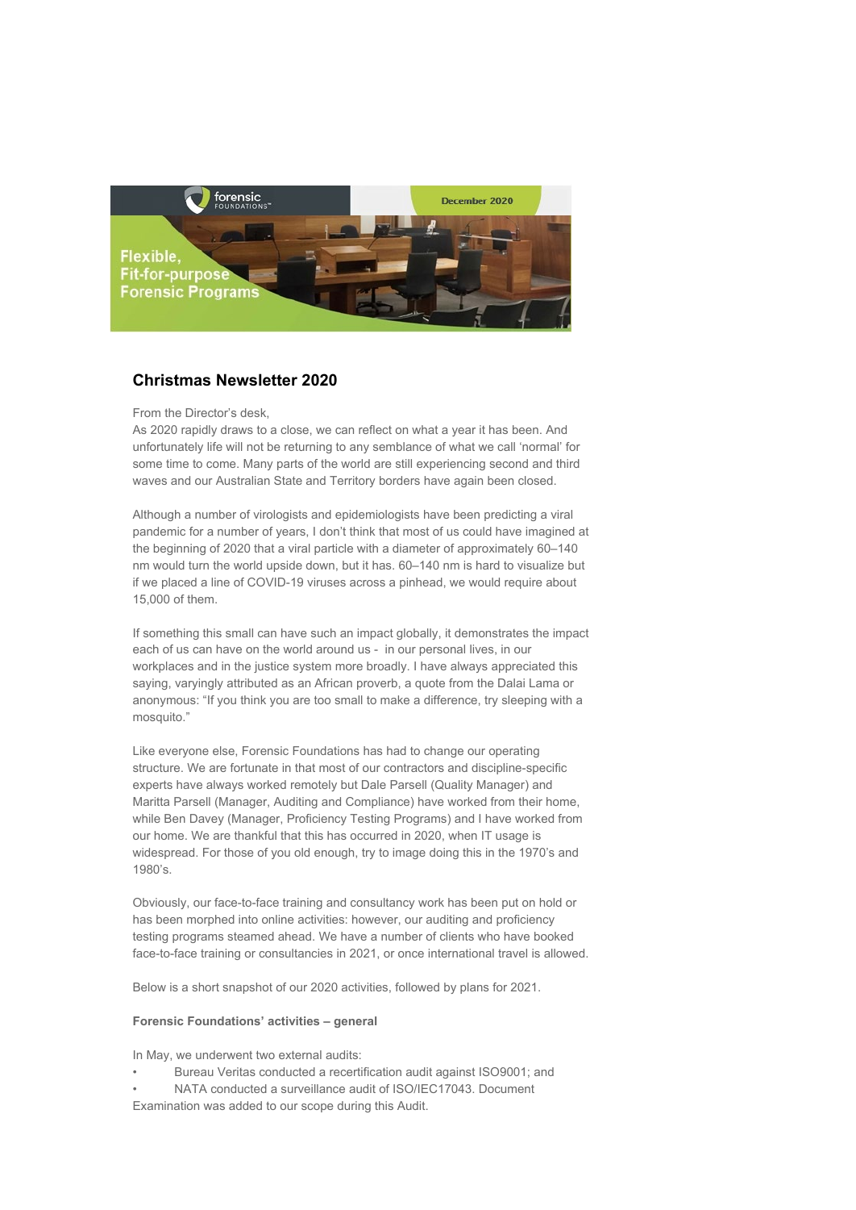

# **Christmas Newsletter 2020**

From the Director's desk,

As 2020 rapidly draws to a close, we can reflect on what a year it has been. And unfortunately life will not be returning to any semblance of what we call 'normal' for some time to come. Many parts of the world are still experiencing second and third waves and our Australian State and Territory borders have again been closed.

Although a number of virologists and epidemiologists have been predicting a viral pandemic for a number of years, I don't think that most of us could have imagined at the beginning of 2020 that a viral particle with a diameter of approximately 60–140 nm would turn the world upside down, but it has. 60–140 nm is hard to visualize but if we placed a line of COVID-19 viruses across a pinhead, we would require about 15,000 of them.

If something this small can have such an impact globally, it demonstrates the impact each of us can have on the world around us - in our personal lives, in our workplaces and in the justice system more broadly. I have always appreciated this saying, varyingly attributed as an African proverb, a quote from the Dalai Lama or anonymous: "If you think you are too small to make a difference, try sleeping with a mosquito."

Like everyone else, Forensic Foundations has had to change our operating structure. We are fortunate in that most of our contractors and discipline-specific experts have always worked remotely but Dale Parsell (Quality Manager) and Maritta Parsell (Manager, Auditing and Compliance) have worked from their home, while Ben Davey (Manager, Proficiency Testing Programs) and I have worked from our home. We are thankful that this has occurred in 2020, when IT usage is widespread. For those of you old enough, try to image doing this in the 1970's and 1980's.

Obviously, our face-to-face training and consultancy work has been put on hold or has been morphed into online activities: however, our auditing and proficiency testing programs steamed ahead. We have a number of clients who have booked face-to-face training or consultancies in 2021, or once international travel is allowed.

Below is a short snapshot of our 2020 activities, followed by plans for 2021.

#### **Forensic Foundations' activities – general**

In May, we underwent two external audits:

- Bureau Veritas conducted a recertification audit against ISO9001; and
- NATA conducted a surveillance audit of ISO/IEC17043. Document
- Examination was added to our scope during this Audit.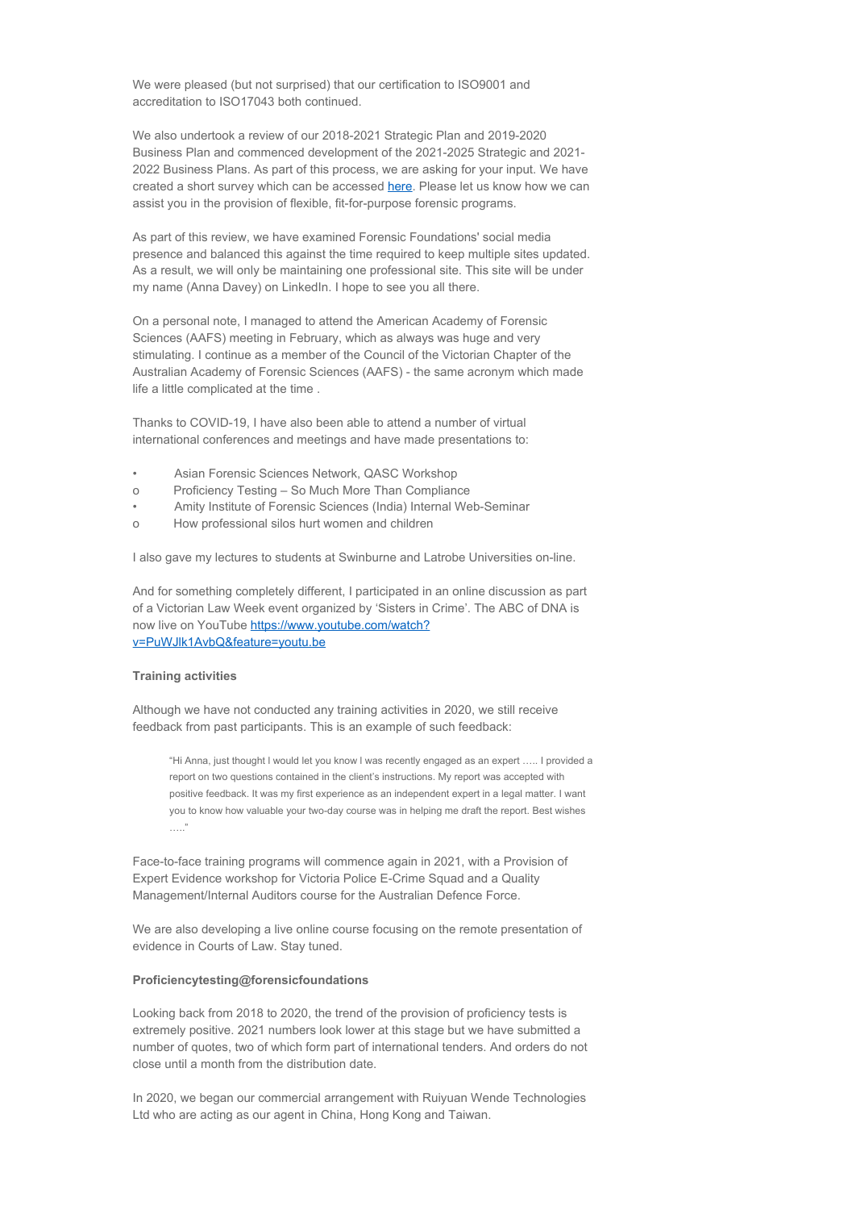We were pleased (but not surprised) that our certification to ISO9001 and accreditation to ISO17043 both continued.

We also undertook a review of our 2018-2021 Strategic Plan and 2019-2020 Business Plan and commenced development of the 2021-2025 Strategic and 2021- 2022 Business Plans. As part of this process, we are asking for your input. We have created a short survey which can be accessed [here](https://www.surveymonkey.com/r/357FQHR). Please let us know how we can assist you in the provision of flexible, fit-for-purpose forensic programs.

As part of this review, we have examined Forensic Foundations' social media presence and balanced this against the time required to keep multiple sites updated. As a result, we will only be maintaining one professional site. This site will be under my name (Anna Davey) on LinkedIn. I hope to see you all there.

On a personal note, I managed to attend the American Academy of Forensic Sciences (AAFS) meeting in February, which as always was huge and very stimulating. I continue as a member of the Council of the Victorian Chapter of the Australian Academy of Forensic Sciences (AAFS) - the same acronym which made life a little complicated at the time .

Thanks to COVID-19, I have also been able to attend a number of virtual international conferences and meetings and have made presentations to:

- Asian Forensic Sciences Network, QASC Workshop
- o Proficiency Testing So Much More Than Compliance
- Amity Institute of Forensic Sciences (India) Internal Web-Seminar
- o How professional silos hurt women and children

I also gave my lectures to students at Swinburne and Latrobe Universities on-line.

And for something completely different, I participated in an online discussion as part of a Victorian Law Week event organized by 'Sisters in Crime'. The ABC of DNA is now live on YouTube [https://www.youtube.com/watch?](https://www.youtube.com/watch?v=PuWJlk1AvbQ&feature=youtu.be) [v=PuWJlk1AvbQ&feature=youtu.be](https://www.youtube.com/watch?v=PuWJlk1AvbQ&feature=youtu.be)

#### **Training activities**

Although we have not conducted any training activities in 2020, we still receive feedback from past participants. This is an example of such feedback:

"Hi Anna, just thought l would let you know l was recently engaged as an expert ….. I provided a report on two questions contained in the client's instructions. My report was accepted with positive feedback. It was my first experience as an independent expert in a legal matter. I want you to know how valuable your two-day course was in helping me draft the report. Best wishes ….."

Face-to-face training programs will commence again in 2021, with a Provision of Expert Evidence workshop for Victoria Police E-Crime Squad and a Quality Management/Internal Auditors course for the Australian Defence Force.

We are also developing a live online course focusing on the remote presentation of evidence in Courts of Law. Stay tuned.

### **Proficiencytesting@forensicfoundations**

Looking back from 2018 to 2020, the trend of the provision of proficiency tests is extremely positive. 2021 numbers look lower at this stage but we have submitted a number of quotes, two of which form part of international tenders. And orders do not close until a month from the distribution date.

In 2020, we began our commercial arrangement with Ruiyuan Wende Technologies Ltd who are acting as our agent in China, Hong Kong and Taiwan.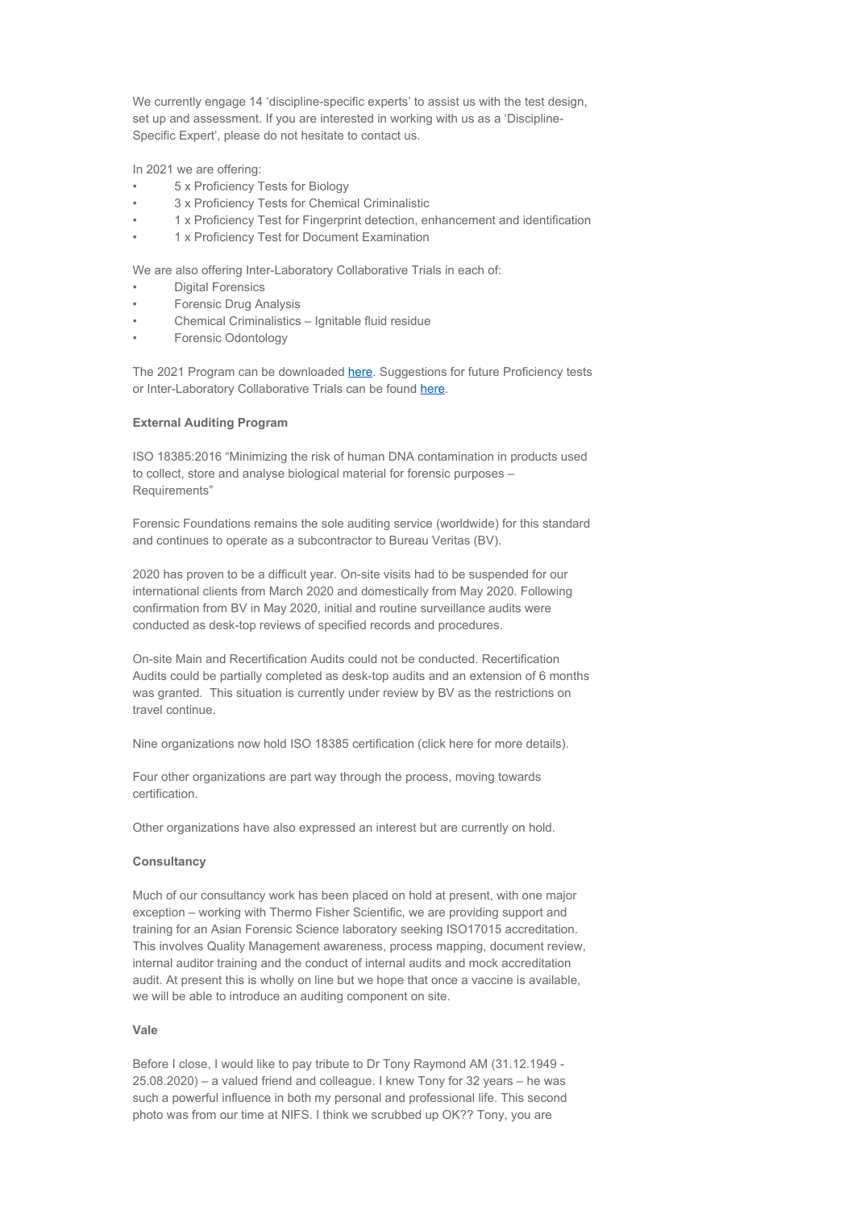We currently engage 14 'discipline-specific experts' to assist us with the test design. set up and assessment. If you are interested in working with us as a 'Discipline-Specific Expert', please do not hesitate to contact us.

In 2021 we are offering:

- 5 x Proficiency Tests for Biology
- 3 x Proficiency Tests for Chemical Criminalistic
- 1 x Proficiency Test for Fingerprint detection, enhancement and identification
- 1 x Proficiency Test for Document Examination

We are also offering Inter-Laboratory Collaborative Trials in each of:

- Digital Forensics
- Forensic Drug Analysis
- Chemical Criminalistics Ignitable fluid residue
- Forensic Odontology

The 2021 Program can be downloaded [here](https://www.forensicfoundations.com.au/wp-content/uploads/2020/08/proficiencytesting@forensicfoundations-2021-program-1.pdf). Suggestions for future Proficiency tests or Inter-Laboratory Collaborative Trials can be found [here](https://www.forensicfoundations.com.au/proficiency-testing/proficiency-test-development/).

#### **External Auditing Program**

ISO 18385:2016 "Minimizing the risk of human DNA contamination in products used to collect, store and analyse biological material for forensic purposes – Requirements"

Forensic Foundations remains the sole auditing service (worldwide) for this standard and continues to operate as a subcontractor to Bureau Veritas (BV).

2020 has proven to be a difficult year. On-site visits had to be suspended for our international clients from March 2020 and domestically from May 2020. Following confirmation from BV in May 2020, initial and routine surveillance audits were conducted as desk-top reviews of specified records and procedures.

On-site Main and Recertification Audits could not be conducted. Recertification Audits could be partially completed as desk-top audits and an extension of 6 months was granted. This situation is currently under review by BV as the restrictions on travel continue.

Nine organizations now hold ISO 18385 certification (click here for more details).

Four other organizations are part way through the process, moving towards certification.

Other organizations have also expressed an interest but are currently on hold.

### **Consultancy**

Much of our consultancy work has been placed on hold at present, with one major exception – working with Thermo Fisher Scientific, we are providing support and training for an Asian Forensic Science laboratory seeking ISO17015 accreditation. This involves Quality Management awareness, process mapping, document review, internal auditor training and the conduct of internal audits and mock accreditation audit. At present this is wholly on line but we hope that once a vaccine is available, we will be able to introduce an auditing component on site.

#### **Vale**

Before I close, I would like to pay tribute to Dr Tony Raymond AM (31.12.1949 - 25.08.2020) – a valued friend and colleague. I knew Tony for 32 years – he was such a powerful influence in both my personal and professional life. This second photo was from our time at NIFS. I think we scrubbed up OK?? Tony, you are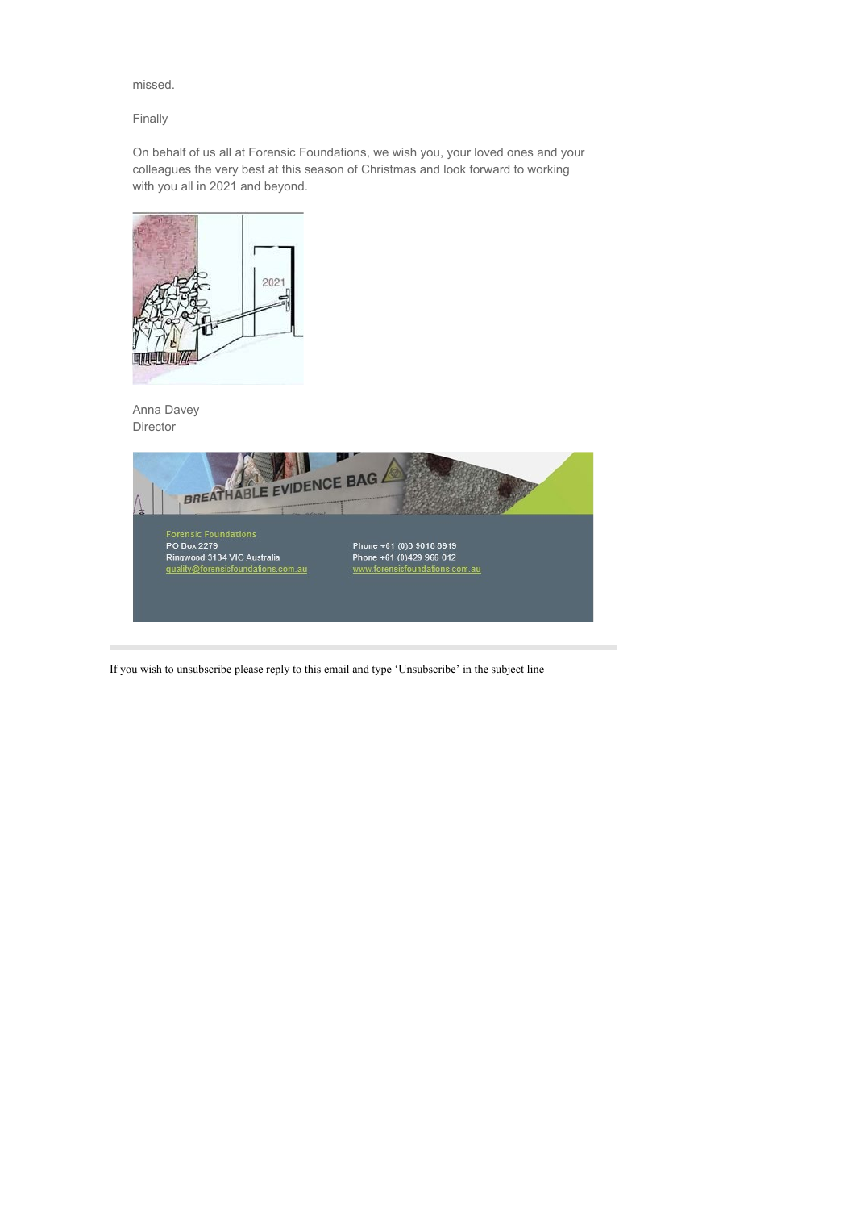# missed.

# Finally

On behalf of us all at Forensic Foundations, we wish you, your loved ones and your colleagues the very best at this season of Christmas and look forward to working with you all in 2021 and beyond.



Anna Davey Director



If you wish to unsubscribe please reply to this email and type 'Unsubscribe' in the subject line